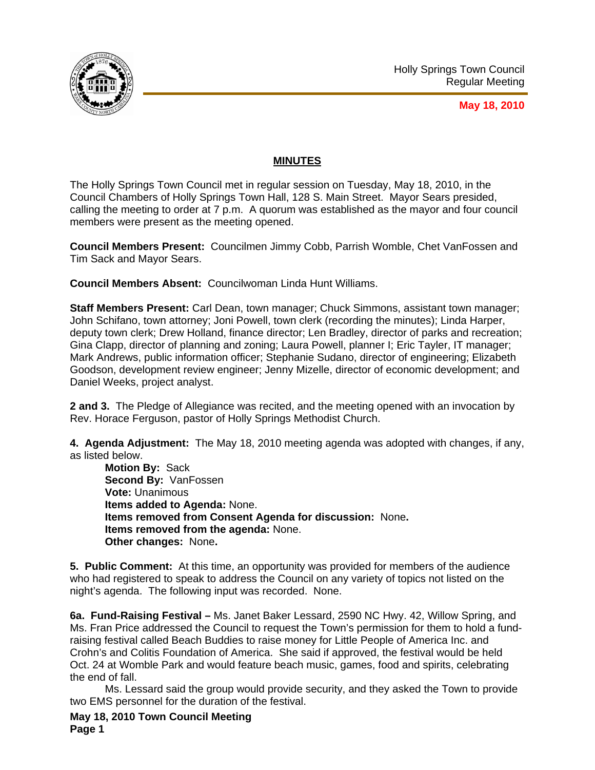

**May 18, 2010**

# **MINUTES**

The Holly Springs Town Council met in regular session on Tuesday, May 18, 2010, in the Council Chambers of Holly Springs Town Hall, 128 S. Main Street. Mayor Sears presided, calling the meeting to order at 7 p.m. A quorum was established as the mayor and four council members were present as the meeting opened.

**Council Members Present:** Councilmen Jimmy Cobb, Parrish Womble, Chet VanFossen and Tim Sack and Mayor Sears.

**Council Members Absent:** Councilwoman Linda Hunt Williams.

**Staff Members Present:** Carl Dean, town manager; Chuck Simmons, assistant town manager; John Schifano, town attorney; Joni Powell, town clerk (recording the minutes); Linda Harper, deputy town clerk; Drew Holland, finance director; Len Bradley, director of parks and recreation; Gina Clapp, director of planning and zoning; Laura Powell, planner I; Eric Tayler, IT manager; Mark Andrews, public information officer; Stephanie Sudano, director of engineering; Elizabeth Goodson, development review engineer; Jenny Mizelle, director of economic development; and Daniel Weeks, project analyst.

**2 and 3.** The Pledge of Allegiance was recited, and the meeting opened with an invocation by Rev. Horace Ferguson, pastor of Holly Springs Methodist Church.

**4. Agenda Adjustment:** The May 18, 2010 meeting agenda was adopted with changes, if any, as listed below.

**Motion By:** Sack **Second By:** VanFossen **Vote:** Unanimous **Items added to Agenda:** None. **Items removed from Consent Agenda for discussion:** None**. Items removed from the agenda:** None. **Other changes:** None**.** 

**5. Public Comment:** At this time, an opportunity was provided for members of the audience who had registered to speak to address the Council on any variety of topics not listed on the night's agenda. The following input was recorded. None.

**6a. Fund-Raising Festival –** Ms. Janet Baker Lessard, 2590 NC Hwy. 42, Willow Spring, and Ms. Fran Price addressed the Council to request the Town's permission for them to hold a fundraising festival called Beach Buddies to raise money for Little People of America Inc. and Crohn's and Colitis Foundation of America. She said if approved, the festival would be held Oct. 24 at Womble Park and would feature beach music, games, food and spirits, celebrating the end of fall.

 Ms. Lessard said the group would provide security, and they asked the Town to provide two EMS personnel for the duration of the festival.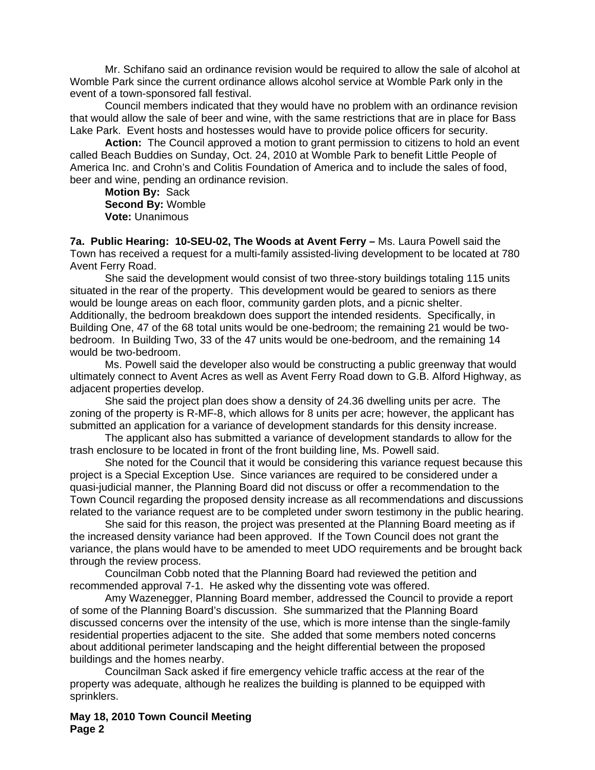Mr. Schifano said an ordinance revision would be required to allow the sale of alcohol at Womble Park since the current ordinance allows alcohol service at Womble Park only in the event of a town-sponsored fall festival.

Council members indicated that they would have no problem with an ordinance revision that would allow the sale of beer and wine, with the same restrictions that are in place for Bass Lake Park. Event hosts and hostesses would have to provide police officers for security.

**Action:** The Council approved a motion to grant permission to citizens to hold an event called Beach Buddies on Sunday, Oct. 24, 2010 at Womble Park to benefit Little People of America Inc. and Crohn's and Colitis Foundation of America and to include the sales of food, beer and wine, pending an ordinance revision.

**Motion By:** Sack **Second By:** Womble **Vote:** Unanimous

**7a. Public Hearing: 10-SEU-02, The Woods at Avent Ferry –** Ms. Laura Powell said the Town has received a request for a multi-family assisted-living development to be located at 780 Avent Ferry Road.

She said the development would consist of two three-story buildings totaling 115 units situated in the rear of the property. This development would be geared to seniors as there would be lounge areas on each floor, community garden plots, and a picnic shelter. Additionally, the bedroom breakdown does support the intended residents. Specifically, in Building One, 47 of the 68 total units would be one-bedroom; the remaining 21 would be twobedroom. In Building Two, 33 of the 47 units would be one-bedroom, and the remaining 14 would be two-bedroom.

 Ms. Powell said the developer also would be constructing a public greenway that would ultimately connect to Avent Acres as well as Avent Ferry Road down to G.B. Alford Highway, as adjacent properties develop.

 She said the project plan does show a density of 24.36 dwelling units per acre. The zoning of the property is R-MF-8, which allows for 8 units per acre; however, the applicant has submitted an application for a variance of development standards for this density increase.

The applicant also has submitted a variance of development standards to allow for the trash enclosure to be located in front of the front building line, Ms. Powell said.

She noted for the Council that it would be considering this variance request because this project is a Special Exception Use. Since variances are required to be considered under a quasi-judicial manner, the Planning Board did not discuss or offer a recommendation to the Town Council regarding the proposed density increase as all recommendations and discussions related to the variance request are to be completed under sworn testimony in the public hearing.

She said for this reason, the project was presented at the Planning Board meeting as if the increased density variance had been approved. If the Town Council does not grant the variance, the plans would have to be amended to meet UDO requirements and be brought back through the review process.

Councilman Cobb noted that the Planning Board had reviewed the petition and recommended approval 7-1. He asked why the dissenting vote was offered.

Amy Wazenegger, Planning Board member, addressed the Council to provide a report of some of the Planning Board's discussion. She summarized that the Planning Board discussed concerns over the intensity of the use, which is more intense than the single-family residential properties adjacent to the site. She added that some members noted concerns about additional perimeter landscaping and the height differential between the proposed buildings and the homes nearby.

Councilman Sack asked if fire emergency vehicle traffic access at the rear of the property was adequate, although he realizes the building is planned to be equipped with sprinklers.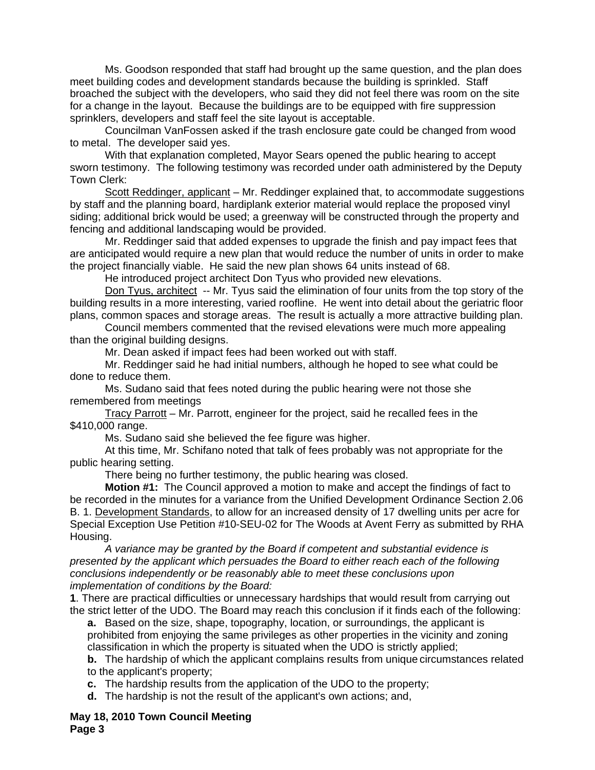Ms. Goodson responded that staff had brought up the same question, and the plan does meet building codes and development standards because the building is sprinkled. Staff broached the subject with the developers, who said they did not feel there was room on the site for a change in the layout. Because the buildings are to be equipped with fire suppression sprinklers, developers and staff feel the site layout is acceptable.

Councilman VanFossen asked if the trash enclosure gate could be changed from wood to metal. The developer said yes.

 With that explanation completed, Mayor Sears opened the public hearing to accept sworn testimony. The following testimony was recorded under oath administered by the Deputy Town Clerk:

Scott Reddinger, applicant - Mr. Reddinger explained that, to accommodate suggestions by staff and the planning board, hardiplank exterior material would replace the proposed vinyl siding; additional brick would be used; a greenway will be constructed through the property and fencing and additional landscaping would be provided.

Mr. Reddinger said that added expenses to upgrade the finish and pay impact fees that are anticipated would require a new plan that would reduce the number of units in order to make the project financially viable. He said the new plan shows 64 units instead of 68.

He introduced project architect Don Tyus who provided new elevations.

Don Tyus, architect -- Mr. Tyus said the elimination of four units from the top story of the building results in a more interesting, varied roofline. He went into detail about the geriatric floor plans, common spaces and storage areas. The result is actually a more attractive building plan.

Council members commented that the revised elevations were much more appealing than the original building designs.

Mr. Dean asked if impact fees had been worked out with staff.

Mr. Reddinger said he had initial numbers, although he hoped to see what could be done to reduce them.

Ms. Sudano said that fees noted during the public hearing were not those she remembered from meetings

Tracy Parrott – Mr. Parrott, engineer for the project, said he recalled fees in the \$410,000 range.

Ms. Sudano said she believed the fee figure was higher.

At this time, Mr. Schifano noted that talk of fees probably was not appropriate for the public hearing setting.

There being no further testimony, the public hearing was closed.

 **Motion #1:** The Council approved a motion to make and accept the findings of fact to be recorded in the minutes for a variance from the Unified Development Ordinance Section 2.06 B. 1. Development Standards, to allow for an increased density of 17 dwelling units per acre for Special Exception Use Petition #10-SEU-02 for The Woods at Avent Ferry as submitted by RHA Housing.

*A variance may be granted by the Board if competent and substantial evidence is presented by the applicant which persuades the Board to either reach each of the following conclusions independently or be reasonably able to meet these conclusions upon implementation of conditions by the Board:* 

**1**. There are practical difficulties or unnecessary hardships that would result from carrying out the strict letter of the UDO. The Board may reach this conclusion if it finds each of the following:

**a.** Based on the size, shape, topography, location, or surroundings, the applicant is prohibited from enjoying the same privileges as other properties in the vicinity and zoning classification in which the property is situated when the UDO is strictly applied;

**b.** The hardship of which the applicant complains results from unique circumstances related to the applicant's property;

**c.** The hardship results from the application of the UDO to the property;

**d.** The hardship is not the result of the applicant's own actions; and,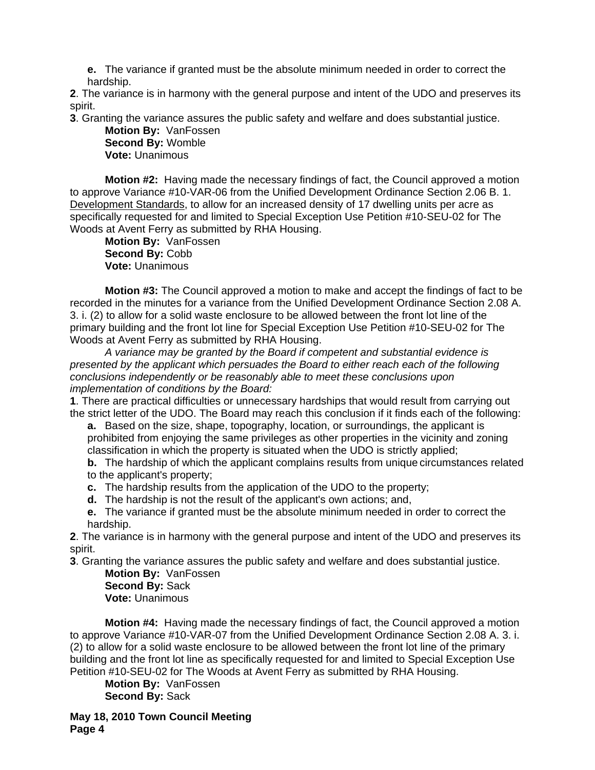**e.** The variance if granted must be the absolute minimum needed in order to correct the hardship.

**2**. The variance is in harmony with the general purpose and intent of the UDO and preserves its spirit.

**3**. Granting the variance assures the public safety and welfare and does substantial justice.

**Motion By:** VanFossen **Second By:** Womble **Vote:** Unanimous

**Motion #2:** Having made the necessary findings of fact, the Council approved a motion to approve Variance #10-VAR-06 from the Unified Development Ordinance Section 2.06 B. 1. Development Standards, to allow for an increased density of 17 dwelling units per acre as specifically requested for and limited to Special Exception Use Petition #10-SEU-02 for The Woods at Avent Ferry as submitted by RHA Housing.

**Motion By:** VanFossen **Second By:** Cobb **Vote:** Unanimous

**Motion #3:** The Council approved a motion to make and accept the findings of fact to be recorded in the minutes for a variance from the Unified Development Ordinance Section 2.08 A. 3. i. (2) to allow for a solid waste enclosure to be allowed between the front lot line of the primary building and the front lot line for Special Exception Use Petition #10-SEU-02 for The Woods at Avent Ferry as submitted by RHA Housing.

*A variance may be granted by the Board if competent and substantial evidence is presented by the applicant which persuades the Board to either reach each of the following conclusions independently or be reasonably able to meet these conclusions upon implementation of conditions by the Board:* 

**1**. There are practical difficulties or unnecessary hardships that would result from carrying out the strict letter of the UDO. The Board may reach this conclusion if it finds each of the following:

**a.** Based on the size, shape, topography, location, or surroundings, the applicant is prohibited from enjoying the same privileges as other properties in the vicinity and zoning classification in which the property is situated when the UDO is strictly applied;

**b.** The hardship of which the applicant complains results from unique circumstances related to the applicant's property;

**c.** The hardship results from the application of the UDO to the property;

**d.** The hardship is not the result of the applicant's own actions; and,

**e.** The variance if granted must be the absolute minimum needed in order to correct the hardship.

**2**. The variance is in harmony with the general purpose and intent of the UDO and preserves its spirit.

**3**. Granting the variance assures the public safety and welfare and does substantial justice.

**Motion By:** VanFossen **Second By:** Sack **Vote:** Unanimous

**Motion #4:** Having made the necessary findings of fact, the Council approved a motion to approve Variance #10-VAR-07 from the Unified Development Ordinance Section 2.08 A. 3. i. (2) to allow for a solid waste enclosure to be allowed between the front lot line of the primary building and the front lot line as specifically requested for and limited to Special Exception Use Petition #10-SEU-02 for The Woods at Avent Ferry as submitted by RHA Housing.

**Motion By:** VanFossen **Second By:** Sack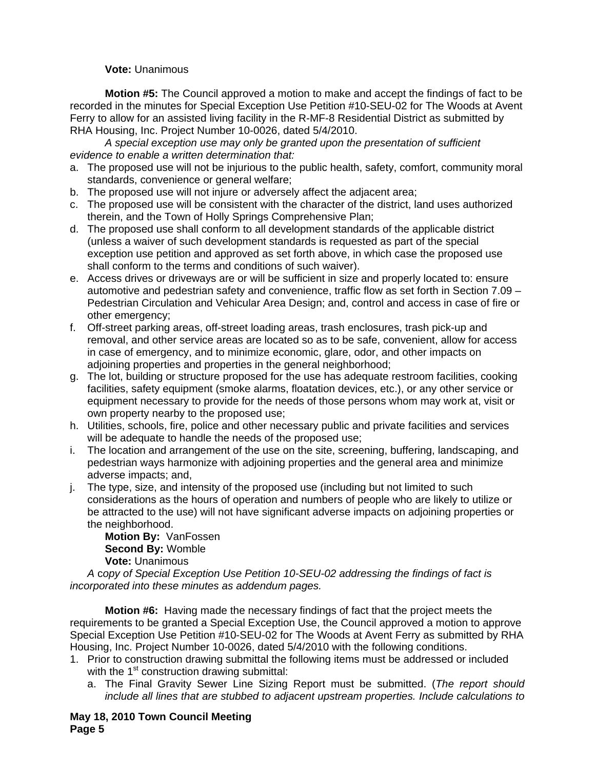### **Vote:** Unanimous

**Motion #5:** The Council approved a motion to make and accept the findings of fact to be recorded in the minutes for Special Exception Use Petition #10-SEU-02 for The Woods at Avent Ferry to allow for an assisted living facility in the R-MF-8 Residential District as submitted by RHA Housing, Inc. Project Number 10-0026, dated 5/4/2010.

*A special exception use may only be granted upon the presentation of sufficient evidence to enable a written determination that:* 

- a. The proposed use will not be injurious to the public health, safety, comfort, community moral standards, convenience or general welfare;
- b. The proposed use will not injure or adversely affect the adjacent area;
- c. The proposed use will be consistent with the character of the district, land uses authorized therein, and the Town of Holly Springs Comprehensive Plan;
- d. The proposed use shall conform to all development standards of the applicable district (unless a waiver of such development standards is requested as part of the special exception use petition and approved as set forth above, in which case the proposed use shall conform to the terms and conditions of such waiver).
- e. Access drives or driveways are or will be sufficient in size and properly located to: ensure automotive and pedestrian safety and convenience, traffic flow as set forth in Section 7.09 – Pedestrian Circulation and Vehicular Area Design; and, control and access in case of fire or other emergency;
- f. Off-street parking areas, off-street loading areas, trash enclosures, trash pick-up and removal, and other service areas are located so as to be safe, convenient, allow for access in case of emergency, and to minimize economic, glare, odor, and other impacts on adjoining properties and properties in the general neighborhood;
- g. The lot, building or structure proposed for the use has adequate restroom facilities, cooking facilities, safety equipment (smoke alarms, floatation devices, etc.), or any other service or equipment necessary to provide for the needs of those persons whom may work at, visit or own property nearby to the proposed use;
- h. Utilities, schools, fire, police and other necessary public and private facilities and services will be adequate to handle the needs of the proposed use;
- i. The location and arrangement of the use on the site, screening, buffering, landscaping, and pedestrian ways harmonize with adjoining properties and the general area and minimize adverse impacts; and,
- j. The type, size, and intensity of the proposed use (including but not limited to such considerations as the hours of operation and numbers of people who are likely to utilize or be attracted to the use) will not have significant adverse impacts on adjoining properties or the neighborhood.

**Motion By:** VanFossen **Second By:** Womble **Vote:** Unanimous

*A* c*opy of Special Exception Use Petition 10-SEU-02 addressing the findings of fact is incorporated into these minutes as addendum pages.* 

**Motion #6:** Having made the necessary findings of fact that the project meets the requirements to be granted a Special Exception Use, the Council approved a motion to approve Special Exception Use Petition #10-SEU-02 for The Woods at Avent Ferry as submitted by RHA Housing, Inc. Project Number 10-0026, dated 5/4/2010 with the following conditions.

- 1. Prior to construction drawing submittal the following items must be addressed or included with the  $1<sup>st</sup>$  construction drawing submittal:
	- a. The Final Gravity Sewer Line Sizing Report must be submitted. (*The report should include all lines that are stubbed to adjacent upstream properties. Include calculations to*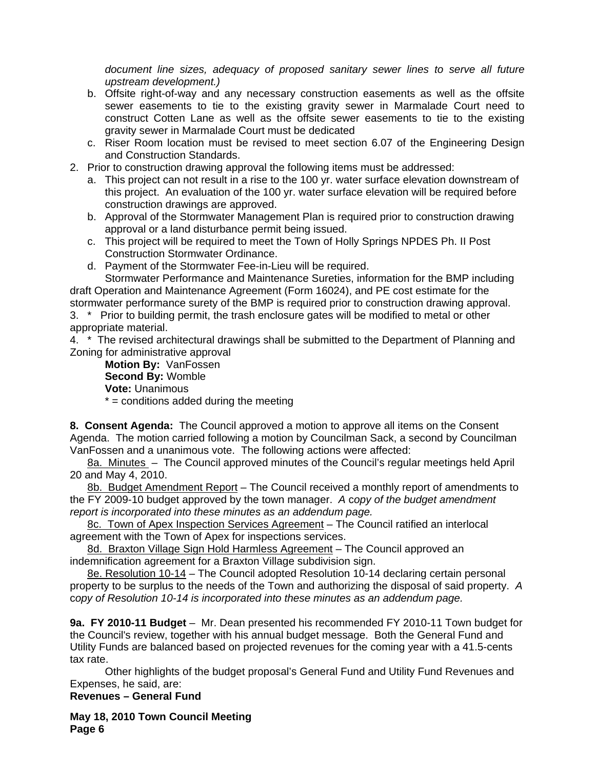*document line sizes, adequacy of proposed sanitary sewer lines to serve all future upstream development.)*

- b. Offsite right-of-way and any necessary construction easements as well as the offsite sewer easements to tie to the existing gravity sewer in Marmalade Court need to construct Cotten Lane as well as the offsite sewer easements to tie to the existing gravity sewer in Marmalade Court must be dedicated
- c. Riser Room location must be revised to meet section 6.07 of the Engineering Design and Construction Standards.
- 2. Prior to construction drawing approval the following items must be addressed:
	- a. This project can not result in a rise to the 100 yr. water surface elevation downstream of this project. An evaluation of the 100 yr. water surface elevation will be required before construction drawings are approved.
	- b. Approval of the Stormwater Management Plan is required prior to construction drawing approval or a land disturbance permit being issued.
	- c. This project will be required to meet the Town of Holly Springs NPDES Ph. II Post Construction Stormwater Ordinance.
	- d. Payment of the Stormwater Fee-in-Lieu will be required.

Stormwater Performance and Maintenance Sureties, information for the BMP including draft Operation and Maintenance Agreement (Form 16024), and PE cost estimate for the

stormwater performance surety of the BMP is required prior to construction drawing approval. 3. \* Prior to building permit, the trash enclosure gates will be modified to metal or other appropriate material.

4. \* The revised architectural drawings shall be submitted to the Department of Planning and Zoning for administrative approval

**Motion By:** VanFossen **Second By:** Womble **Vote:** Unanimous

 $* =$  conditions added during the meeting

**8. Consent Agenda:** The Council approved a motion to approve all items on the Consent Agenda. The motion carried following a motion by Councilman Sack, a second by Councilman VanFossen and a unanimous vote. The following actions were affected:

8a. Minutes – The Council approved minutes of the Council's regular meetings held April 20 and May 4, 2010.

8b. Budget Amendment Report – The Council received a monthly report of amendments to the FY 2009-10 budget approved by the town manager. *A* c*opy of the budget amendment report is incorporated into these minutes as an addendum page.* 

8c. Town of Apex Inspection Services Agreement - The Council ratified an interlocal agreement with the Town of Apex for inspections services.

8d. Braxton Village Sign Hold Harmless Agreement - The Council approved an indemnification agreement for a Braxton Village subdivision sign.

8e. Resolution 10-14 – The Council adopted Resolution 10-14 declaring certain personal property to be surplus to the needs of the Town and authorizing the disposal of said property. *A*  c*opy of Resolution 10-14 is incorporated into these minutes as an addendum page.* 

**9a. FY 2010-11 Budget** – Mr. Dean presented his recommended FY 2010-11 Town budget for the Council's review, together with his annual budget message. Both the General Fund and Utility Funds are balanced based on projected revenues for the coming year with a 41.5-cents tax rate.

 Other highlights of the budget proposal's General Fund and Utility Fund Revenues and Expenses, he said, are:

**Revenues – General Fund**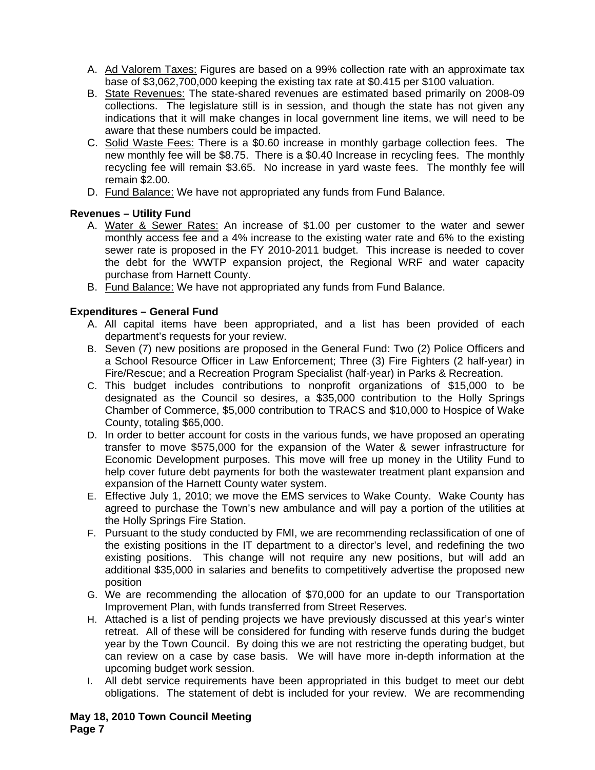- A. Ad Valorem Taxes: Figures are based on a 99% collection rate with an approximate tax base of \$3,062,700,000 keeping the existing tax rate at \$0.415 per \$100 valuation.
- B. State Revenues: The state-shared revenues are estimated based primarily on 2008-09 collections. The legislature still is in session, and though the state has not given any indications that it will make changes in local government line items, we will need to be aware that these numbers could be impacted.
- C. Solid Waste Fees: There is a \$0.60 increase in monthly garbage collection fees. The new monthly fee will be \$8.75. There is a \$0.40 Increase in recycling fees. The monthly recycling fee will remain \$3.65. No increase in yard waste fees. The monthly fee will remain \$2.00.
- D. Fund Balance: We have not appropriated any funds from Fund Balance.

# **Revenues – Utility Fund**

- A. Water & Sewer Rates: An increase of \$1.00 per customer to the water and sewer monthly access fee and a 4% increase to the existing water rate and 6% to the existing sewer rate is proposed in the FY 2010-2011 budget. This increase is needed to cover the debt for the WWTP expansion project, the Regional WRF and water capacity purchase from Harnett County.
- B. Fund Balance: We have not appropriated any funds from Fund Balance.

# **Expenditures – General Fund**

- A. All capital items have been appropriated, and a list has been provided of each department's requests for your review.
- B. Seven (7) new positions are proposed in the General Fund: Two (2) Police Officers and a School Resource Officer in Law Enforcement; Three (3) Fire Fighters (2 half-year) in Fire/Rescue; and a Recreation Program Specialist (half-year) in Parks & Recreation.
- C. This budget includes contributions to nonprofit organizations of \$15,000 to be designated as the Council so desires, a \$35,000 contribution to the Holly Springs Chamber of Commerce, \$5,000 contribution to TRACS and \$10,000 to Hospice of Wake County, totaling \$65,000.
- D. In order to better account for costs in the various funds, we have proposed an operating transfer to move \$575,000 for the expansion of the Water & sewer infrastructure for Economic Development purposes. This move will free up money in the Utility Fund to help cover future debt payments for both the wastewater treatment plant expansion and expansion of the Harnett County water system.
- E. Effective July 1, 2010; we move the EMS services to Wake County. Wake County has agreed to purchase the Town's new ambulance and will pay a portion of the utilities at the Holly Springs Fire Station.
- F. Pursuant to the study conducted by FMI, we are recommending reclassification of one of the existing positions in the IT department to a director's level, and redefining the two existing positions. This change will not require any new positions, but will add an additional \$35,000 in salaries and benefits to competitively advertise the proposed new position
- G. We are recommending the allocation of \$70,000 for an update to our Transportation Improvement Plan, with funds transferred from Street Reserves.
- H. Attached is a list of pending projects we have previously discussed at this year's winter retreat. All of these will be considered for funding with reserve funds during the budget year by the Town Council. By doing this we are not restricting the operating budget, but can review on a case by case basis. We will have more in-depth information at the upcoming budget work session.
- I. All debt service requirements have been appropriated in this budget to meet our debt obligations. The statement of debt is included for your review. We are recommending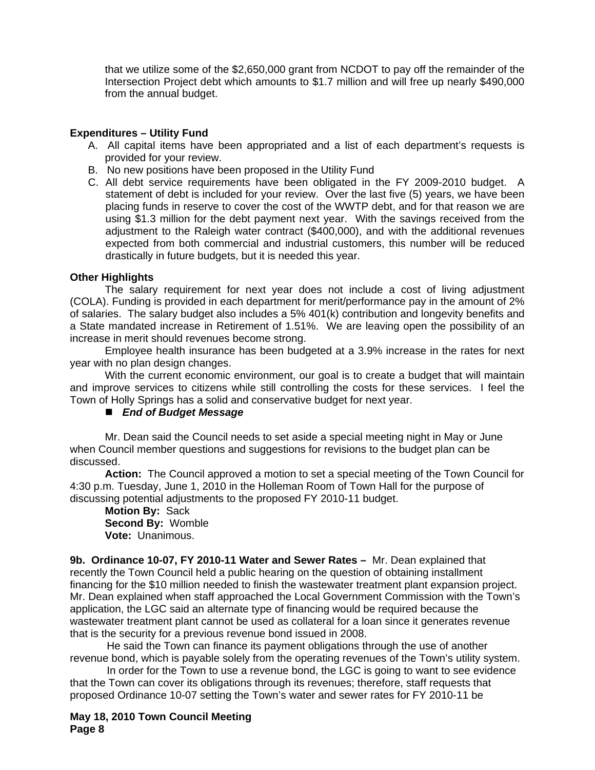that we utilize some of the \$2,650,000 grant from NCDOT to pay off the remainder of the Intersection Project debt which amounts to \$1.7 million and will free up nearly \$490,000 from the annual budget.

## **Expenditures – Utility Fund**

- A. All capital items have been appropriated and a list of each department's requests is provided for your review.
- B. No new positions have been proposed in the Utility Fund
- C. All debt service requirements have been obligated in the FY 2009-2010 budget. A statement of debt is included for your review. Over the last five (5) years, we have been placing funds in reserve to cover the cost of the WWTP debt, and for that reason we are using \$1.3 million for the debt payment next year. With the savings received from the adjustment to the Raleigh water contract (\$400,000), and with the additional revenues expected from both commercial and industrial customers, this number will be reduced drastically in future budgets, but it is needed this year.

### **Other Highlights**

The salary requirement for next year does not include a cost of living adjustment (COLA). Funding is provided in each department for merit/performance pay in the amount of 2% of salaries. The salary budget also includes a 5% 401(k) contribution and longevity benefits and a State mandated increase in Retirement of 1.51%. We are leaving open the possibility of an increase in merit should revenues become strong.

Employee health insurance has been budgeted at a 3.9% increase in the rates for next year with no plan design changes.

With the current economic environment, our goal is to create a budget that will maintain and improve services to citizens while still controlling the costs for these services. I feel the Town of Holly Springs has a solid and conservative budget for next year.

### *End of Budget Message*

Mr. Dean said the Council needs to set aside a special meeting night in May or June when Council member questions and suggestions for revisions to the budget plan can be discussed.

**Action:** The Council approved a motion to set a special meeting of the Town Council for 4:30 p.m. Tuesday, June 1, 2010 in the Holleman Room of Town Hall for the purpose of discussing potential adjustments to the proposed FY 2010-11 budget.

**Motion By:** Sack **Second By:** Womble **Vote:** Unanimous.

**9b. Ordinance 10-07, FY 2010-11 Water and Sewer Rates –** Mr. Dean explained that recently the Town Council held a public hearing on the question of obtaining installment financing for the \$10 million needed to finish the wastewater treatment plant expansion project. Mr. Dean explained when staff approached the Local Government Commission with the Town's application, the LGC said an alternate type of financing would be required because the wastewater treatment plant cannot be used as collateral for a loan since it generates revenue that is the security for a previous revenue bond issued in 2008.

 He said the Town can finance its payment obligations through the use of another revenue bond, which is payable solely from the operating revenues of the Town's utility system.

 In order for the Town to use a revenue bond, the LGC is going to want to see evidence that the Town can cover its obligations through its revenues; therefore, staff requests that proposed Ordinance 10-07 setting the Town's water and sewer rates for FY 2010-11 be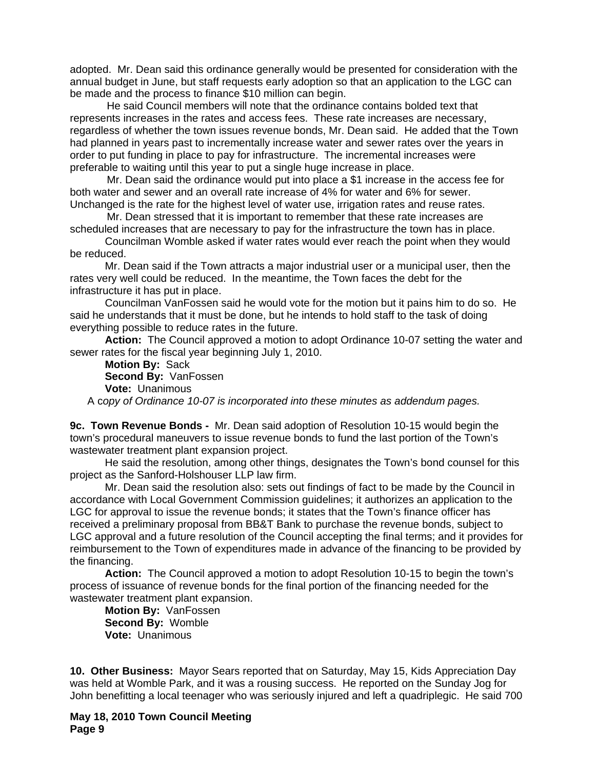adopted. Mr. Dean said this ordinance generally would be presented for consideration with the annual budget in June, but staff requests early adoption so that an application to the LGC can be made and the process to finance \$10 million can begin.

 He said Council members will note that the ordinance contains bolded text that represents increases in the rates and access fees. These rate increases are necessary, regardless of whether the town issues revenue bonds, Mr. Dean said. He added that the Town had planned in years past to incrementally increase water and sewer rates over the years in order to put funding in place to pay for infrastructure. The incremental increases were preferable to waiting until this year to put a single huge increase in place.

 Mr. Dean said the ordinance would put into place a \$1 increase in the access fee for both water and sewer and an overall rate increase of 4% for water and 6% for sewer. Unchanged is the rate for the highest level of water use, irrigation rates and reuse rates.

 Mr. Dean stressed that it is important to remember that these rate increases are scheduled increases that are necessary to pay for the infrastructure the town has in place.

Councilman Womble asked if water rates would ever reach the point when they would be reduced.

Mr. Dean said if the Town attracts a major industrial user or a municipal user, then the rates very well could be reduced. In the meantime, the Town faces the debt for the infrastructure it has put in place.

Councilman VanFossen said he would vote for the motion but it pains him to do so. He said he understands that it must be done, but he intends to hold staff to the task of doing everything possible to reduce rates in the future.

**Action:** The Council approved a motion to adopt Ordinance 10-07 setting the water and sewer rates for the fiscal year beginning July 1, 2010.

**Motion By:** Sack **Second By:** VanFossen **Vote:** Unanimous

A c*opy of Ordinance 10-07 is incorporated into these minutes as addendum pages.*

**9c. Town Revenue Bonds -** Mr. Dean said adoption of Resolution 10-15 would begin the town's procedural maneuvers to issue revenue bonds to fund the last portion of the Town's wastewater treatment plant expansion project.

He said the resolution, among other things, designates the Town's bond counsel for this project as the Sanford-Holshouser LLP law firm.

 Mr. Dean said the resolution also: sets out findings of fact to be made by the Council in accordance with Local Government Commission guidelines; it authorizes an application to the LGC for approval to issue the revenue bonds; it states that the Town's finance officer has received a preliminary proposal from BB&T Bank to purchase the revenue bonds, subject to LGC approval and a future resolution of the Council accepting the final terms; and it provides for reimbursement to the Town of expenditures made in advance of the financing to be provided by the financing.

**Action:** The Council approved a motion to adopt Resolution 10-15 to begin the town's process of issuance of revenue bonds for the final portion of the financing needed for the wastewater treatment plant expansion.

**Motion By:** VanFossen **Second By:** Womble **Vote:** Unanimous

**10. Other Business:** Mayor Sears reported that on Saturday, May 15, Kids Appreciation Day was held at Womble Park, and it was a rousing success. He reported on the Sunday Jog for John benefitting a local teenager who was seriously injured and left a quadriplegic. He said 700